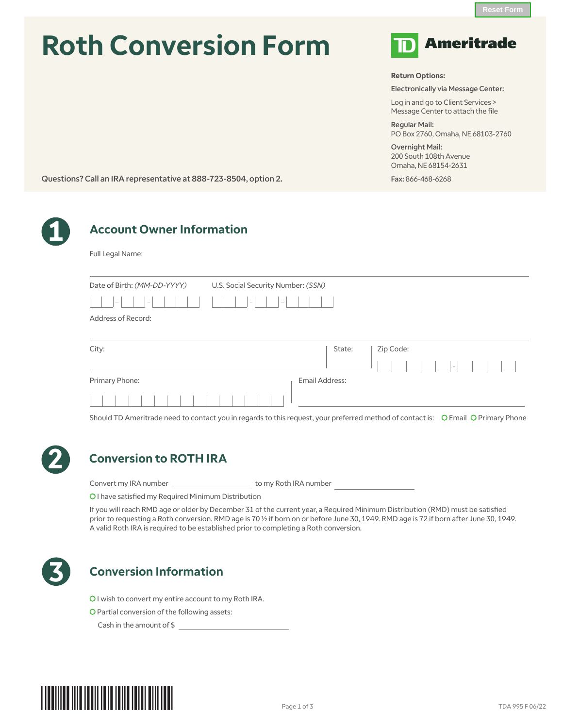# **Roth Conversion Form**



**Return Options:**

Electronically via Message Center:

Log in and go to Client Services > Message Center to attach the file

Regular Mail: PO Box 2760, Omaha, NE 68103-2760

Overnight Mail: 200 South 108th Avenue Omaha, NE 68154-2631

Fax: 866-468-6268

Questions? Call an IRA representative at 888-723-8504, option 2.



# **1 Account Owner Information**

Full Legal Name:

| Date of Birth: (MM-DD-YYYY)        | U.S. Social Security Number: (SSN) |
|------------------------------------|------------------------------------|
| $\overline{\phantom{a}}$<br>$\sim$ | $\sim$<br>$\sim$                   |
| Address of Record:                 |                                    |
| City:                              | Zip Code:<br>State:<br>$\sim$      |
| Primary Phone:                     | Email Address:                     |

Should TD Ameritrade need to contact you in regards to this request, your preferred method of contact is: C Email C Primary Phone



## **2 Conversion to ROTH IRA**

Convert my IRA number to my Roth IRA number

C I have satisfied my Required Minimum Distribution

If you will reach RMD age or older by December 31 of the current year, a Required Minimum Distribution (RMD) must be satisfied prior to requesting a Roth conversion. RMD age is 70 ½ if born on or before June 30, 1949. RMD age is 72 if born after June 30, 1949. A valid Roth IRA is required to be established prior to completing a Roth conversion.



## **3 Conversion Information**

CI wish to convert my entire account to my Roth IRA.

C Partial conversion of the following assets:

Cash in the amount of \$

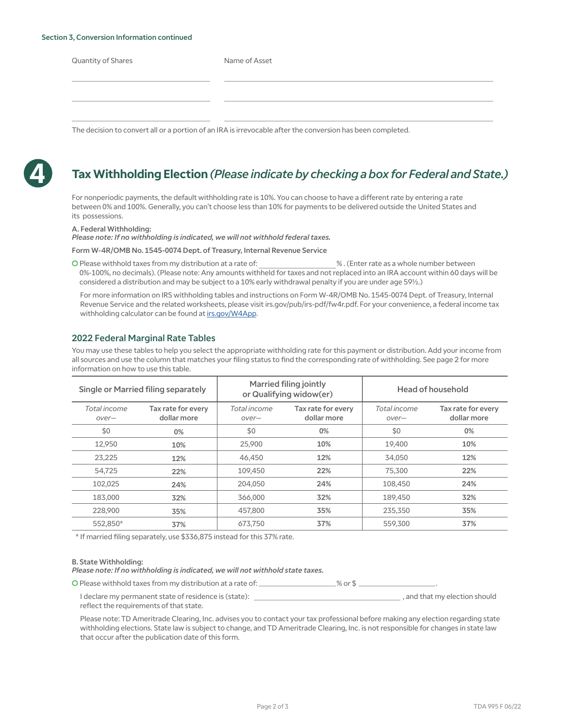#### Section 3, Conversion Information continued

Name of Asset

The decision to convert all or a portion of an IRA is irrevocable after the conversion has been completed.



## **4 Tax Withholding Election** *(Please indicate by checking a box for Federal and State.)*

For nonperiodic payments, the default withholding rate is 10%. You can choose to have a different rate by entering a rate between 0% and 100%. Generally, you can't choose less than 10% for payments to be delivered outside the United States and its possessions.

#### A. Federal Withholding:

*Please note: If no withholding is indicated, we will not withhold federal taxes.*

Form W-4R/OMB No. 1545-0074 Dept. of Treasury, Internal Revenue Service

C Please withhold taxes from my distribution at a rate of: % . (Enter rate as a whole number between 0%-100%, no decimals). (Please note: Any amounts withheld for taxes and not replaced into an IRA account within 60 days will be considered a distribution and may be subject to a 10% early withdrawal penalty if you are under age 59½.)

For more information on IRS withholding tables and instructions on Form W-4R/OMB No. 1545-0074 Dept. of Treasury, Internal Revenue Service and the related worksheets, please visit irs.gov/pub/irs-pdf/fw4r.pdf. For your convenience, a federal income tax withholding calculator can be found a[t irs.gov/W4App.](https://www.irs.gov/individuals/tax-withholding-estimator)

### 2022 Federal Marginal Rate Tables

You may use these tables to help you select the appropriate withholding rate for this payment or distribution. Add your income from all sources and use the column that matches your filing status to find the corresponding rate of withholding. See page 2 for more information on how to use this table.

| <b>Single or Married filing separately</b> |                                   | Married filing jointly<br>or Qualifying widow(er) |                                   | Head of household     |                                   |  |  |  |  |
|--------------------------------------------|-----------------------------------|---------------------------------------------------|-----------------------------------|-----------------------|-----------------------------------|--|--|--|--|
| Total income<br>over-                      | Tax rate for every<br>dollar more | Total income<br>over-                             | Tax rate for every<br>dollar more | Total income<br>over- | Tax rate for every<br>dollar more |  |  |  |  |
| \$0                                        | 0%                                | \$0                                               | $0\%$                             | \$0                   | 0%                                |  |  |  |  |
| 12,950                                     | 10%                               | 25,900                                            | 10%                               | 19,400                | 10%                               |  |  |  |  |
| 23,225                                     | 12%                               | 46,450                                            | 12%                               | 34,050                | 12%                               |  |  |  |  |
| 54.725                                     | 22%                               | 109.450                                           | 22%                               | 75,300                | 22%                               |  |  |  |  |
| 102,025                                    | 24%                               | 204,050                                           | 24%                               | 108,450               | 24%                               |  |  |  |  |
| 183,000                                    | 32%                               | 366,000                                           | 32%                               | 189.450               | 32%                               |  |  |  |  |
| 228,900                                    | 35%                               | 457,800                                           | 35%                               | 235,350               | 35%                               |  |  |  |  |
| 552,850*                                   | 37%                               | 673,750                                           | 37%                               | 559,300               | 37%                               |  |  |  |  |

\* If married filing separately, use \$336,875 instead for this 37% rate.

#### B. State Withholding:

*Please note: If no withholding is indicated, we will not withhold state taxes.*

O Please withhold taxes from my distribution at a rate of:  $\_\_\_\_\_\_\_\_\_\_\_\$ 

I declare my permanent state of residence is (state):  $\frac{1}{2}$  , and that my election should reflect the requirements of that state.

Please note: TD Ameritrade Clearing, Inc. advises you to contact your tax professional before making any election regarding state withholding elections. State law is subject to change, and TD Ameritrade Clearing, Inc. is not responsible for changes in state law that occur after the publication date of this form.